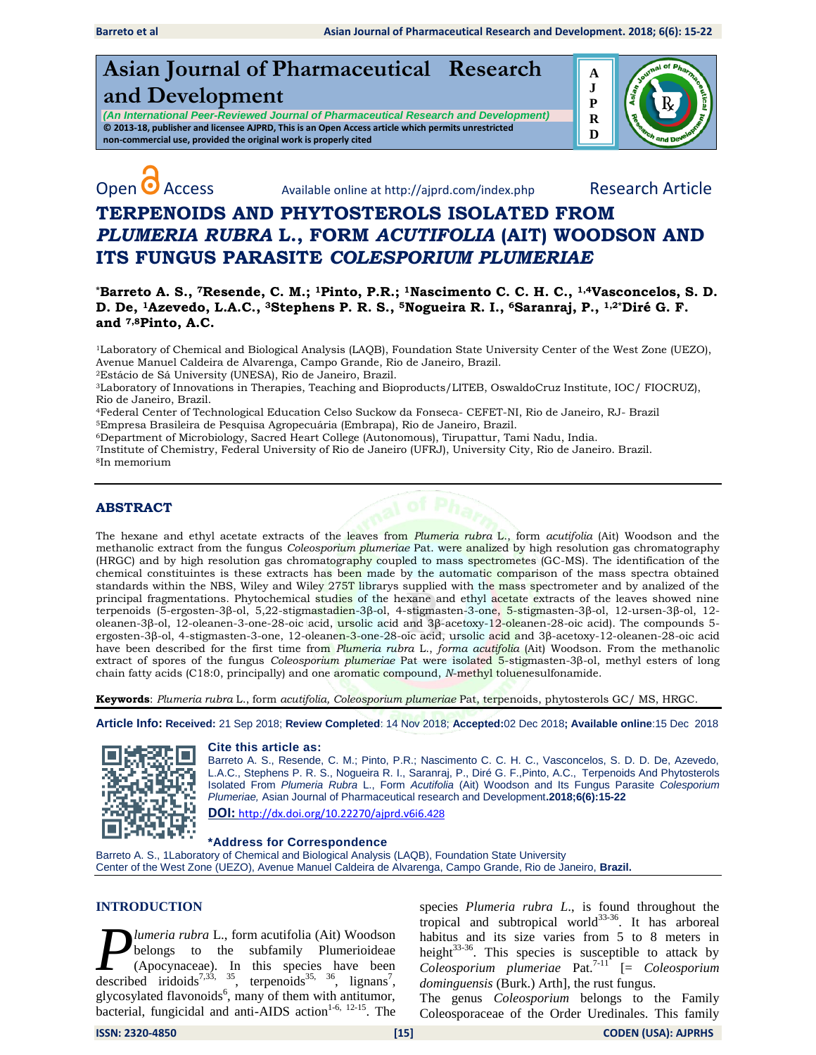**Asian Journal of Pharmaceutical Research and Development** 

*(An International Peer-Reviewed Journal of Pharmaceutical Research and Development)* **© 2013-18, publisher and licensee AJPRD, This is an Open Access article which permits unrestricted non-commercial use, provided the original work is properly cited**





Open **O** Access Available online at http://ajprd.com/index.php Research Article

# **TERPENOIDS AND PHYTOSTEROLS ISOLATED FROM**  *PLUMERIA RUBRA* **L., FORM** *ACUTIFOLIA* **(AIT) WOODSON AND ITS FUNGUS PARASITE** *COLESPORIUM PLUMERIAE*

**\*Barreto A. S., 7Resende, C. M.; 1Pinto, P.R.; 1Nascimento C. C. H. C., 1,4Vasconcelos, S. D. D. De, 1Azevedo, L.A.C., 3Stephens P. R. S., 5Nogueira R. I., 6Saranraj, P., 1,2\*Diré G. F. and 7,8Pinto, A.C.**

<sup>1</sup>Laboratory of Chemical and Biological Analysis (LAQB), Foundation State University Center of the West Zone (UEZO), Avenue Manuel Caldeira de Alvarenga, Campo Grande, Rio de Janeiro, Brazil.

<sup>2</sup>Estácio de Sá University (UNESA), Rio de Janeiro, Brazil.

<sup>3</sup>Laboratory of Innovations in Therapies, Teaching and Bioproducts/LITEB, OswaldoCruz Institute, IOC/ FIOCRUZ), Rio de Janeiro, Brazil.

<sup>4</sup>Federal Center of Technological Education Celso Suckow da Fonseca- CEFET-NI, Rio de Janeiro, RJ- Brazil <sup>5</sup>Empresa Brasileira de Pesquisa Agropecuária (Embrapa), Rio de Janeiro, Brazil.

<sup>6</sup>Department of Microbiology, Sacred Heart College (Autonomous), Tirupattur, Tami Nadu, India.

<sup>7</sup>Institute of Chemistry, Federal University of Rio de Janeiro (UFRJ), University City, Rio de Janeiro. Brazil. <sup>8</sup>In memorium

# **ABSTRACT**

The hexane and ethyl acetate extracts of the leaves from *Plumeria rubra* L., form *acutifolia* (Ait) Woodson and the methanolic extract from the fungus *Coleosporium plumeriae* Pat. were analized by high resolution gas chromatography (HRGC) and by high resolution gas chromatography coupled to mass spectrometes (GC-MS). The identification of the chemical constituintes is these extracts has been made by the automatic comparison of the mass spectra obtained standards within the NBS, Wiley and Wiley 275T librarys supplied with the mass spectrometer and by analized of the principal fragmentations. Phytochemical studies of the hexane and ethyl acetate extracts of the leaves showed nine terpenoids (5-ergosten-3β-ol, 5,22-stigmastadien-3β-ol, 4-stigmasten-3-one, 5-stigmasten-3β-ol, 12-ursen-3β-ol, 12 oleanen-3β-ol, 12-oleanen-3-one-28-oic acid, ursolic acid and 3β-acetoxy-12-oleanen-28-oic acid). The compounds 5ergosten-3β-ol, 4-stigmasten-3-one, 12-oleanen-3-one-28-oic acid, ursolic acid and 3β-acetoxy-12-oleanen-28-oic acid have been described for the first time from *Plumeria rubra* L., *forma acutifolia* (Ait) Woodson. From the methanolic extract of spores of the fungus *Coleosporium plumeriae* Pat were isolated 5-stigmasten-3β-ol, methyl esters of long chain fatty acids (C18:0, principally) and one aromatic compound, *N*-methyl toluenesulfonamide.

**Keywords**: *Plumeria rubra* L., form *acutifolia, Coleosporium plumeriae* Pat, terpenoids, phytosterols GC/ MS, HRGC.

**Article Info: Received:** 21 Sep 2018; **Review Completed**: 14 Nov 2018; **Accepted:**02 Dec 2018**; Available online**:15 Dec 2018



### **Cite this article as:**

Barreto A. S., Resende, C. M.; Pinto, P.R.; Nascimento C. C. H. C., Vasconcelos, S. D. D. De, Azevedo, L.A.C., Stephens P. R. S., Nogueira R. I., Saranraj, P., Diré G. F.,Pinto, A.C., Terpenoids And Phytosterols Isolated From *Plumeria Rubra* L., Form *Acutifolia* (Ait) Woodson and Its Fungus Parasite *Colesporium Plumeriae,* Asian Journal of Pharmaceutical research and Development**.2018;6(6):15-22 DOI:** [http://dx.doi.org/10.22270/ajprd.v6i6.](http://dx.doi.org/10.22270/ajprd.v6i6.428)428

**\*Address for Correspondence** 

Barreto A. S., 1Laboratory of Chemical and Biological Analysis (LAQB), Foundation State University Center of the West Zone (UEZO), Avenue Manuel Caldeira de Alvarenga, Campo Grande, Rio de Janeiro, **Brazil.**

### **INTRODUCTION**

*lumeria rubra* L., form acutifolia (Ait) Woodson belongs to the subfamily Plumerioideae (Apocynaceae). In this species have been **D** *lumeria rubra* L., form acutifolia (Ait) Woodson<br>belongs to the subfamily Plumerioideae<br>(Apocynaceae). In this species have been<br>described iridoids<sup>7,33, 35</sup>, terpenoids<sup>35, 36</sup>, lignans<sup>7</sup>, glycosylated flavonoids<sup>6</sup>, many of them with antitumor, bacterial, fungicidal and anti-AIDS action<sup>1-6, 12-15</sup>. The

species *Plumeria rubra L*., is found throughout the tropical and subtropical world $33-36$ . It has arboreal habitus and its size varies from 5 to 8 meters in height $33-36$ . This species is susceptible to attack by *Coleosporium plumeriae* Pat.7-11 [= *Coleosporium dominguensis* (Burk.) Arth], the rust fungus.

The genus *Coleosporium* belongs to the Family Coleosporaceae of the Order Uredinales. This family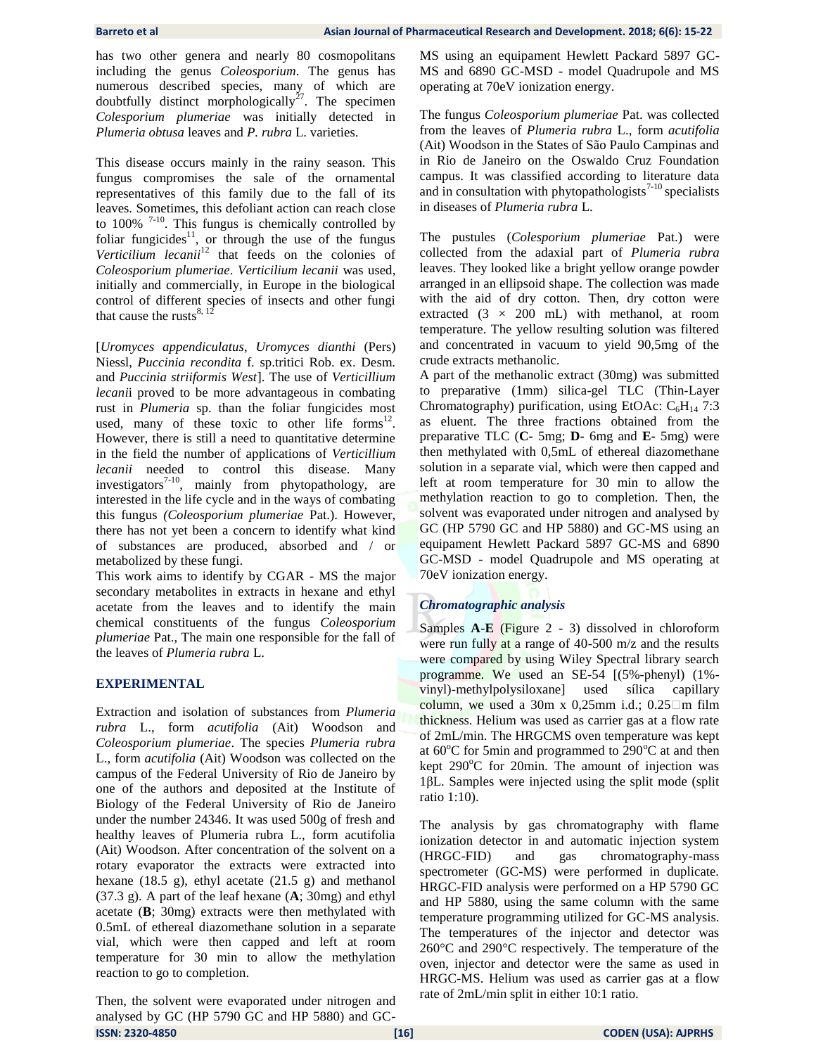has two other genera and nearly 80 cosmopolitans including the genus *Coleosporium*. The genus has numerous described species, many of which are doubtfully distinct morphologically<sup>27</sup>. The specimen *Colesporium plumeriae* was initially detected in *Plumeria obtusa* leaves and *P. rubra* L. varieties.

This disease occurs mainly in the rainy season. This fungus compromises the sale of the ornamental representatives of this family due to the fall of its leaves. Sometimes, this defoliant action can reach close to 100%  $7-10$ . This fungus is chemically controlled by foliar fungicides $11$ , or through the use of the fungus Verticilium lecanii<sup>12</sup> that feeds on the colonies of *Coleosporium plumeriae*. *Verticilium lecanii* was used, initially and commercially, in Europe in the biological control of different species of insects and other fungi that cause the rusts $8, 12$ 

[*Uromyces appendiculatus*, *Uromyces dianthi* (Pers) Niessl, *Puccinia recondita* f. sp.tritici Rob. ex. Desm. and *Puccinia striiformis West*]. The use of *Verticillium lecani*i proved to be more advantageous in combating rust in *Plumeria* sp. than the foliar fungicides most used, many of these toxic to other life forms $^{12}$ . However, there is still a need to quantitative determine in the field the number of applications of *Verticillium lecanii* needed to control this disease. Many investigators<sup>7-10</sup>, mainly from phytopathology, are interested in the life cycle and in the ways of combating this fungus *(Coleosporium plumeriae* Pat.). However, there has not yet been a concern to identify what kind of substances are produced, absorbed and / or metabolized by these fungi.

This work aims to identify by CGAR - MS the major secondary metabolites in extracts in hexane and ethyl acetate from the leaves and to identify the main chemical constituents of the fungus *Coleosporium plumeriae* Pat., The main one responsible for the fall of the leaves of *Plumeria rubra* L.

# **EXPERIMENTAL**

Extraction and isolation of substances from *Plumeria rubra* L., form *acutifolia* (Ait) Woodson and *Coleosporium plumeriae*. The species *Plumeria rubra* L., form *acutifolia* (Ait) Woodson was collected on the campus of the Federal University of Rio de Janeiro by one of the authors and deposited at the Institute of Biology of the Federal University of Rio de Janeiro under the number 24346. It was used 500g of fresh and healthy leaves of Plumeria rubra L., form acutifolia (Ait) Woodson. After concentration of the solvent on a rotary evaporator the extracts were extracted into hexane (18.5 g), ethyl acetate (21.5 g) and methanol (37.3 g). A part of the leaf hexane (**A**; 30mg) and ethyl acetate (**B**; 30mg) extracts were then methylated with 0.5mL of ethereal diazomethane solution in a separate vial, which were then capped and left at room temperature for 30 min to allow the methylation reaction to go to completion.

**ISSN: 2320-4850 [16] CODEN (USA): AJPRHS** Then, the solvent were evaporated under nitrogen and analysed by GC (HP 5790 GC and HP 5880) and GC-

MS using an equipament Hewlett Packard 5897 GC-MS and 6890 GC-MSD - model Quadrupole and MS operating at 70eV ionization energy.

The fungus *Coleosporium plumeriae* Pat. was collected from the leaves of *Plumeria rubra* L., form *acutifolia* (Ait) Woodson in the States of São Paulo Campinas and in Rio de Janeiro on the Oswaldo Cruz Foundation campus. It was classified according to literature data and in consultation with phytopathologists<sup>7-10</sup> specialists in diseases of *Plumeria rubra* L.

The pustules (*Colesporium plumeriae* Pat.) were collected from the adaxial part of *Plumeria rubra* leaves. They looked like a bright yellow orange powder arranged in an ellipsoid shape. The collection was made with the aid of dry cotton. Then, dry cotton were extracted  $(3 \times 200$  mL) with methanol, at room temperature. The yellow resulting solution was filtered and concentrated in vacuum to yield 90,5mg of the crude extracts methanolic.

A part of the methanolic extract (30mg) was submitted to preparative (1mm) silica-gel TLC (Thin-Layer Chromatography) purification, using EtOAc:  $C_6H_{14}$  7:3 as eluent. The three fractions obtained from the preparative TLC (**C-** 5mg; **D-** 6mg and **E-** 5mg) were then methylated with 0,5mL of ethereal diazomethane solution in a separate vial, which were then capped and left at room temperature for 30 min to allow the methylation reaction to go to completion. Then, the solvent was evaporated under nitrogen and analysed by GC (HP 5790 GC and HP 5880) and GC-MS using an equipament Hewlett Packard 5897 GC-MS and 6890 GC-MSD - model Quadrupole and MS operating at 70eV ionization energy.

# *Chromatographic analysis*

Samples **A**-**E** (Figure 2 - 3) dissolved in chloroform were run fully at a range of 40-500 m/z and the results were compared by using Wiley Spectral library search programme. We used an SE-54 [(5%-phenyl) (1% vinyl)-methylpolysiloxane] used sílica capillary column, we used a 30m x 0,25mm i.d.;  $0.25 \Box$ m film thickness. Helium was used as carrier gas at a flow rate of 2mL/min. The HRGCMS oven temperature was kept at  $60^{\circ}$ C for 5min and programmed to 290 $^{\circ}$ C at and then kept  $290^{\circ}$ C for 20min. The amount of injection was 1βL. Samples were injected using the split mode (split ratio 1:10).

The analysis by gas chromatography with flame ionization detector in and automatic injection system (HRGC-FID) and gas chromatography-mass spectrometer (GC-MS) were performed in duplicate. HRGC-FID analysis were performed on a HP 5790 GC and HP 5880, using the same column with the same temperature programming utilized for GC-MS analysis. The temperatures of the injector and detector was 260°C and 290°C respectively. The temperature of the oven, injector and detector were the same as used in HRGC-MS. Helium was used as carrier gas at a flow rate of 2mL/min split in either 10:1 ratio.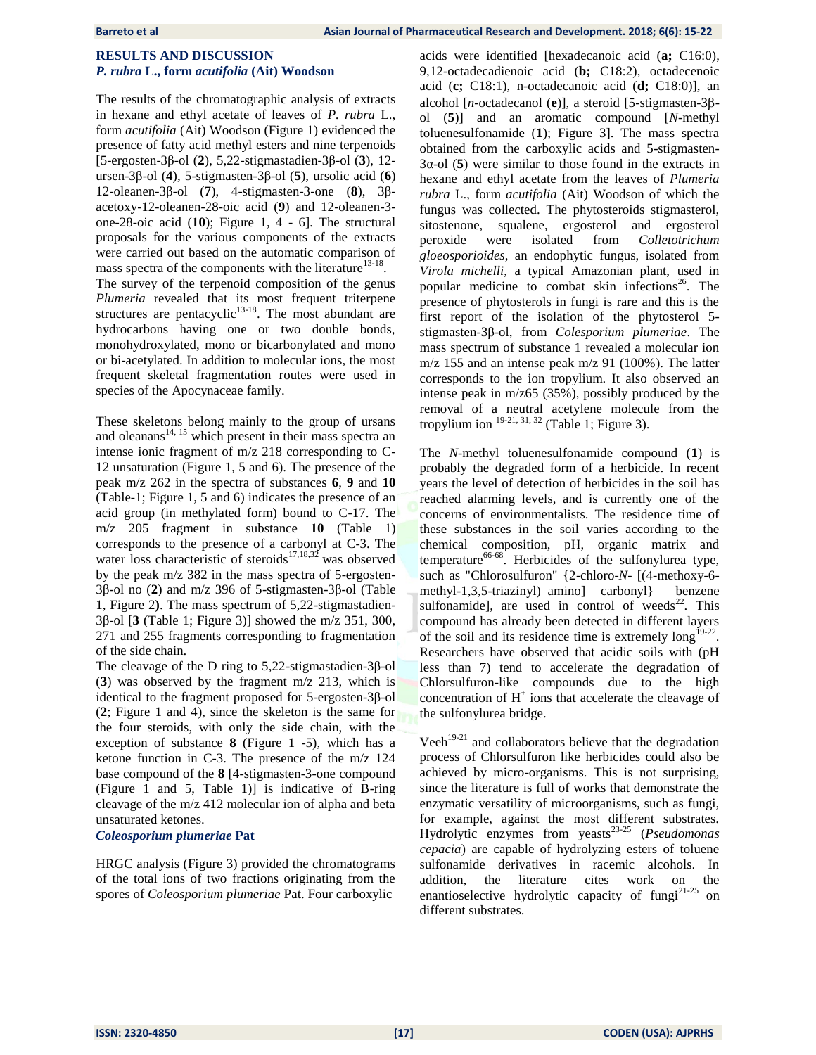# **RESULTS AND DISCUSSION** *P. rubra* **L., form** *acutifolia* **(Ait) Woodson**

The results of the chromatographic analysis of extracts in hexane and ethyl acetate of leaves of *P. rubra* L., form *acutifolia* (Ait) Woodson (Figure 1) evidenced the presence of fatty acid methyl esters and nine terpenoids [5-ergosten-3β-ol (**2**), 5,22-stigmastadien-3β-ol (**3**), 12 ursen-3β-ol (**4**), 5-stigmasten-3β-ol (**5**), ursolic acid (**6**) 12-oleanen-3β-ol (**7**), 4-stigmasten-3-one (**8**), 3βacetoxy-12-oleanen-28-oic acid (**9**) and 12-oleanen-3 one-28-oic acid (**10**); Figure 1, 4 - 6]*.* The structural proposals for the various components of the extracts were carried out based on the automatic comparison of mass spectra of the components with the literature<sup>13-18</sup>.

The survey of the terpenoid composition of the genus *Plumeria* revealed that its most frequent triterpene structures are pentacyclic<sup>13-18</sup>. The most abundant are hydrocarbons having one or two double bonds, monohydroxylated, mono or bicarbonylated and mono or bi-acetylated. In addition to molecular ions, the most frequent skeletal fragmentation routes were used in species of the Apocynaceae family.

These skeletons belong mainly to the group of ursans and oleanans $14, 15$  which present in their mass spectra an intense ionic fragment of m/z 218 corresponding to C-12 unsaturation (Figure 1, 5 and 6). The presence of the peak m/z 262 in the spectra of substances **6**, **9** and **10** (Table-1; Figure 1, 5 and 6) indicates the presence of an acid group (in methylated form) bound to C-17. The m/z 205 fragment in substance **10** (Table 1) corresponds to the presence of a carbonyl at C-3. The water loss characteristic of steroids<sup>17,18,32</sup> was observed by the peak m/z 382 in the mass spectra of 5-ergosten-3β-ol no (**2**) and m/z 396 of 5-stigmasten-3β-ol (Table 1, Figure 2**)**. The mass spectrum of 5,22-stigmastadien-3β-ol [**3** (Table 1; Figure 3)] showed the m/z 351, 300, 271 and 255 fragments corresponding to fragmentation of the side chain.

The cleavage of the D ring to 5,22-stigmastadien-3β-ol (**3**) was observed by the fragment m/z 213, which is identical to the fragment proposed for 5-ergosten-3β-ol (**2**; Figure 1 and 4), since the skeleton is the same for the four steroids, with only the side chain, with the exception of substance **8** (Figure 1 -5), which has a ketone function in C-3. The presence of the m/z 124 base compound of the **8** [4-stigmasten-3-one compound (Figure 1 and 5, Table 1)] is indicative of B-ring cleavage of the m/z 412 molecular ion of alpha and beta unsaturated ketones.

## *Coleosporium plumeriae* **Pat**

HRGC analysis (Figure 3) provided the chromatograms of the total ions of two fractions originating from the spores of *Coleosporium plumeriae* Pat. Four carboxylic

acids were identified [hexadecanoic acid (**a;** C16:0), 9,12-octadecadienoic acid (**b;** C18:2), octadecenoic acid (**c;** C18:1), n-octadecanoic acid (**d;** C18:0)], an alcohol [*n*-octadecanol (**e**)], a steroid [5-stigmasten-3βol (**5**)] and an aromatic compound [*N*-methyl toluenesulfonamide (**1**); Figure 3]. The mass spectra obtained from the carboxylic acids and 5-stigmasten-3α-ol (**5**) were similar to those found in the extracts in hexane and ethyl acetate from the leaves of *Plumeria rubra* L., form *acutifolia* (Ait) Woodson of which the fungus was collected. The phytosteroids stigmasterol, sitostenone, squalene, ergosterol and ergosterol peroxide were isolated from *Colletotrichum gloeosporioides*, an endophytic fungus, isolated from *Virola michelli*, a typical Amazonian plant, used in popular medicine to combat skin infections<sup>26</sup>. The presence of phytosterols in fungi is rare and this is the first report of the isolation of the phytosterol 5 stigmasten-3β-ol, from *Colesporium plumeriae*. The mass spectrum of substance 1 revealed a molecular ion m/z 155 and an intense peak m/z 91 (100%). The latter corresponds to the ion tropylium. It also observed an intense peak in m/z65 (35%), possibly produced by the removal of a neutral acetylene molecule from the tropylium ion  $19-21, 31, 32$  (Table 1; Figure 3).

The *N*-methyl toluenesulfonamide compound (**1**) is probably the degraded form of a herbicide. In recent years the level of detection of herbicides in the soil has reached alarming levels, and is currently one of the concerns of environmentalists. The residence time of these substances in the soil varies according to the chemical composition, pH, organic matrix and temperature<sup>66-68</sup>. Herbicides of the sulfonylurea type, such as "Chlorosulfuron" {2-chloro-*N*- [(4-methoxy-6 methyl-1,3,5-triazinyl)–amino] carbonyl} –benzene sulfonamide], are used in control of weeds $^{22}$ . This compound has already been detected in different layers of the soil and its residence time is extremely  $\log^{19-22}$ . Researchers have observed that acidic soils with (pH less than 7) tend to accelerate the degradation of Chlorsulfuron-like compounds due to the high concentration of  $H^+$  ions that accelerate the cleavage of the sulfonylurea bridge.

Veeh<sup> $19-21$ </sup> and collaborators believe that the degradation process of Chlorsulfuron like herbicides could also be achieved by micro-organisms. This is not surprising, since the literature is full of works that demonstrate the enzymatic versatility of microorganisms, such as fungi, for example, against the most different substrates. Hydrolytic enzymes from yeasts23-25 (*Pseudomonas cepacia*) are capable of hydrolyzing esters of toluene sulfonamide derivatives in racemic alcohols. In addition, the literature cites work on the enantioselective hydrolytic capacity of fungi $2^{1-25}$  on different substrates.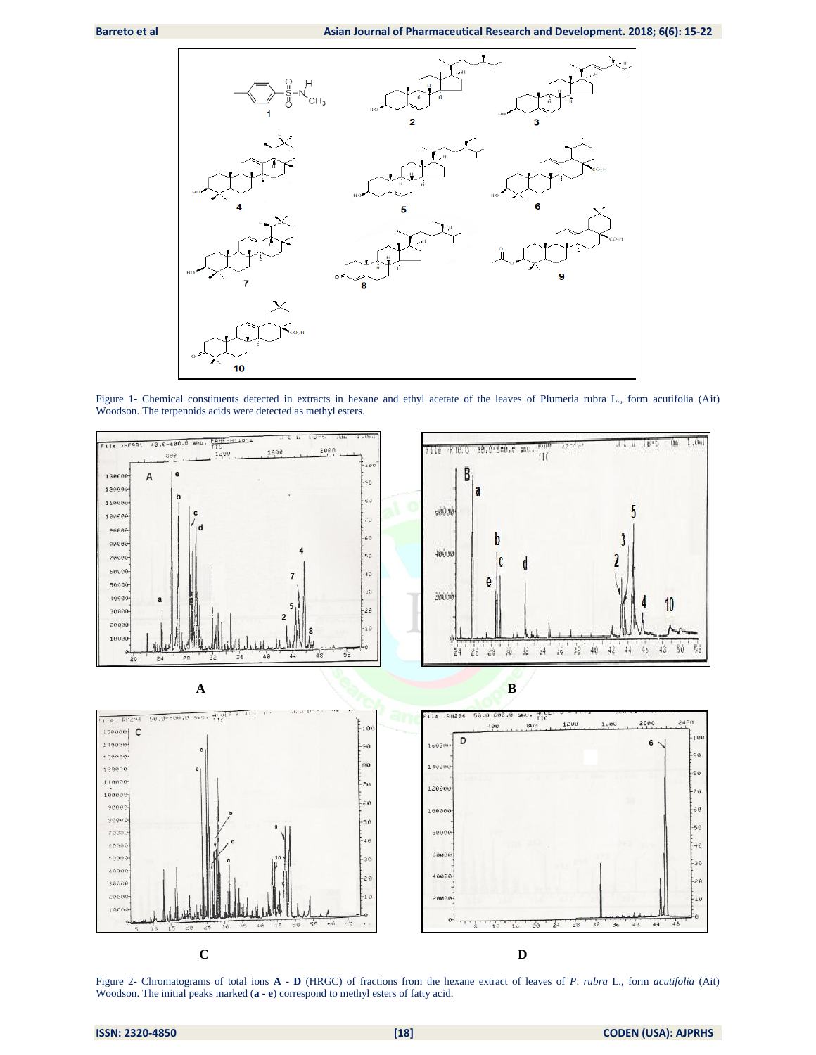

Figure 1- Chemical constituents detected in extracts in hexane and ethyl acetate of the leaves of Plumeria rubra L., form acutifolia (Ait) Woodson. The terpenoids acids were detected as methyl esters.



Figure 2- Chromatograms of total ions **A** - **D** (HRGC) of fractions from the hexane extract of leaves of *P*. *rubra* L., form *acutifolia* (Ait) Woodson. The initial peaks marked (**a** - **e**) correspond to methyl esters of fatty acid.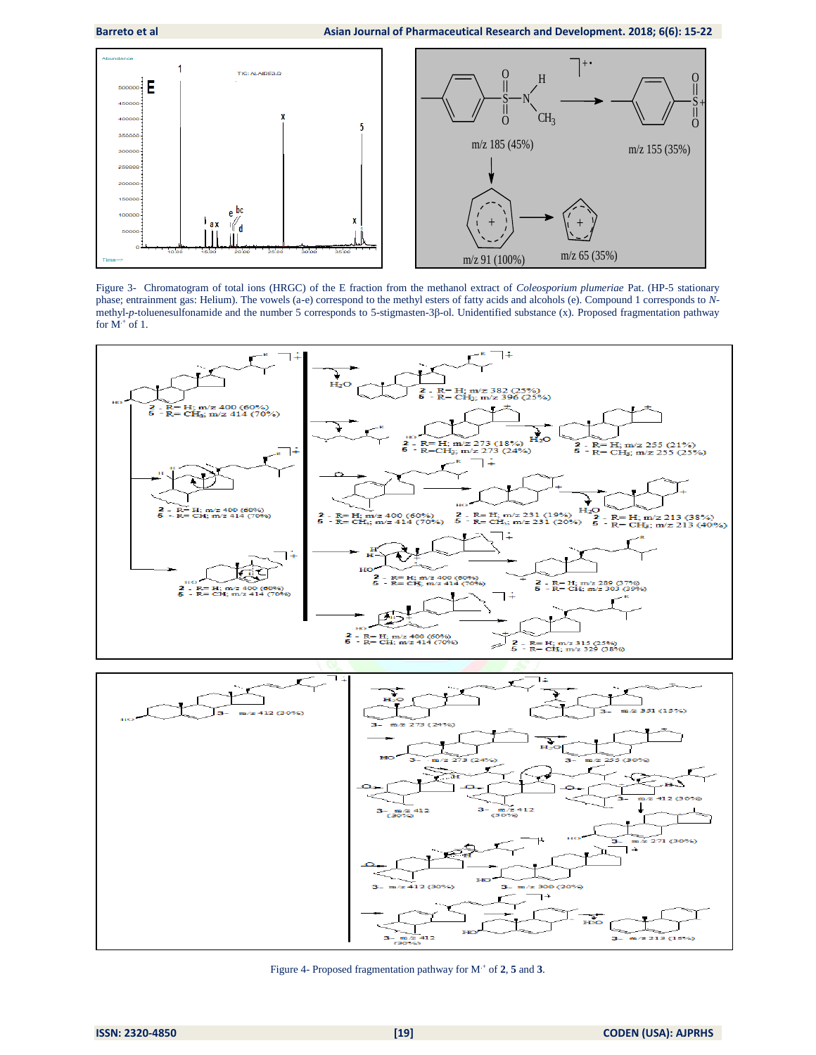

Figure 3- Chromatogram of total ions (HRGC) of the E fraction from the methanol extract of *Coleosporium plumeriae* Pat. (HP-5 stationary phase; entrainment gas: Helium). The vowels (a-e) correspond to the methyl esters of fatty acids and alcohols (e). Compound 1 corresponds to *N*methyl-*p*-toluenesulfonamide and the number 5 corresponds to 5-stigmasten-3β-ol. Unidentified substance (x). Proposed fragmentation pathway for  $M^+$  of 1.



Figure 4- Proposed fragmentation pathway for M.+ of **2**, **5** and **3**.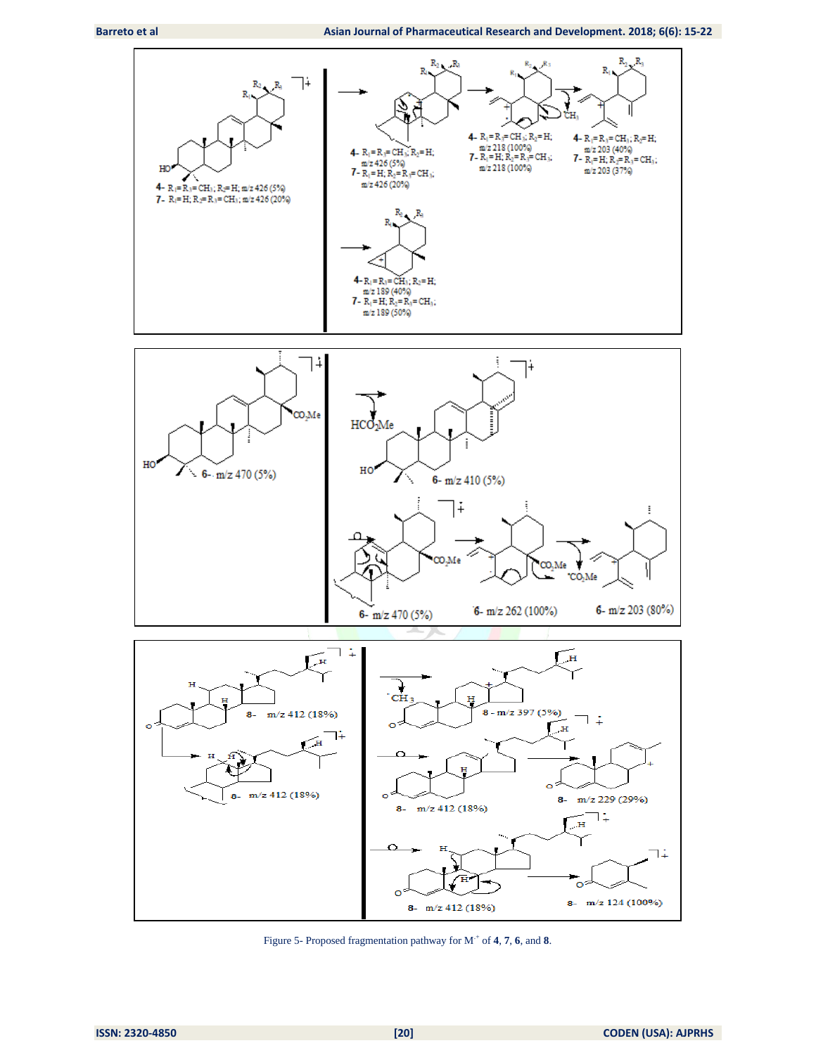

Figure 5- Proposed fragmentation pathway for M.+ of **4**, **7**, **6**, and **8**.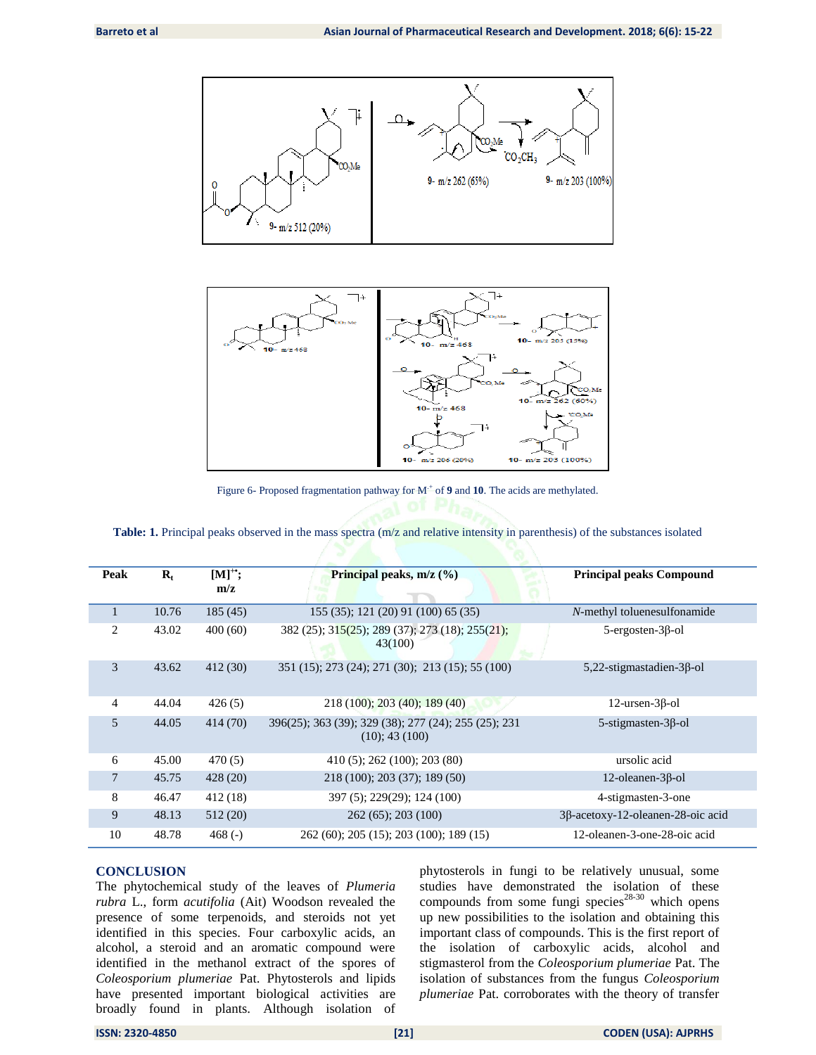



Figure 6- Proposed fragmentation pathway for  $M^+$  of 9 and 10. The acids are methylated.

| Peak           | $R_t$ | $[M]$ <sup>*</sup> ;<br>m/z | Principal peaks, m/z (%)                                              | <b>Principal peaks Compound</b>     |  |  |  |
|----------------|-------|-----------------------------|-----------------------------------------------------------------------|-------------------------------------|--|--|--|
|                | 10.76 | 185(45)                     | 155 (35); 121 (20) 91 (100) 65 (35)                                   | N-methyl toluenesulfonamide         |  |  |  |
| 2              | 43.02 | 400(60)                     | 382 (25); 315(25); 289 (37); 273 (18); 255(21);<br>43(100)            | $5$ -ergosten- $3\beta$ -ol         |  |  |  |
| 3              | 43.62 | 412(30)                     | 351 (15); 273 (24); 271 (30); 213 (15); 55 (100)                      | $5,22$ -stigmastadien-3 $\beta$ -ol |  |  |  |
| 4              | 44.04 | 426(5)                      | 218 (100); 203 (40); 189 (40)                                         | $12$ -ursen- $3\beta$ -ol           |  |  |  |
| 5              | 44.05 | 414 (70)                    | 396(25); 363 (39); 329 (38); 277 (24); 255 (25); 231<br>(10); 43(100) | $5$ -stigmasten- $3\beta$ -ol       |  |  |  |
| 6              | 45.00 | 470(5)                      | 410 (5); 262 (100); 203 (80)                                          | ursolic acid                        |  |  |  |
| $\overline{7}$ | 45.75 | 428 (20)                    | 218 (100); 203 (37); 189 (50)                                         | $12$ -oleanen- $3\beta$ -ol         |  |  |  |
| 8              | 46.47 | 412 (18)                    | 397 (5); 229(29); 124 (100)                                           | 4-stigmasten-3-one                  |  |  |  |
| 9              | 48.13 | 512 (20)                    | $262(65)$ ; 203 $(100)$                                               | 3β-acetoxy-12-oleanen-28-oic acid   |  |  |  |
| 10             | 48.78 | 468 $(-)$                   | 262 (60); 205 (15); 203 (100); 189 (15)                               | 12-oleanen-3-one-28-oic acid        |  |  |  |

|  |  | Table: 1. Principal peaks observed in the mass spectra (m/z and relative intensity in parenthesis) of the substances isolated |  |  |  |  |  |  |  |  |  |  |
|--|--|-------------------------------------------------------------------------------------------------------------------------------|--|--|--|--|--|--|--|--|--|--|
|--|--|-------------------------------------------------------------------------------------------------------------------------------|--|--|--|--|--|--|--|--|--|--|

# **CONCLUSION**

The phytochemical study of the leaves of *Plumeria rubra* L., form *acutifolia* (Ait) Woodson revealed the presence of some terpenoids, and steroids not yet identified in this species. Four carboxylic acids, an alcohol, a steroid and an aromatic compound were identified in the methanol extract of the spores of *Coleosporium plumeriae* Pat. Phytosterols and lipids have presented important biological activities are broadly found in plants. Although isolation of

phytosterols in fungi to be relatively unusual, some studies have demonstrated the isolation of these compounds from some fungi species $28-30$  which opens up new possibilities to the isolation and obtaining this important class of compounds. This is the first report of the isolation of carboxylic acids, alcohol and stigmasterol from the *Coleosporium plumeriae* Pat. The isolation of substances from the fungus *Coleosporium plumeriae* Pat. corroborates with the theory of transfer